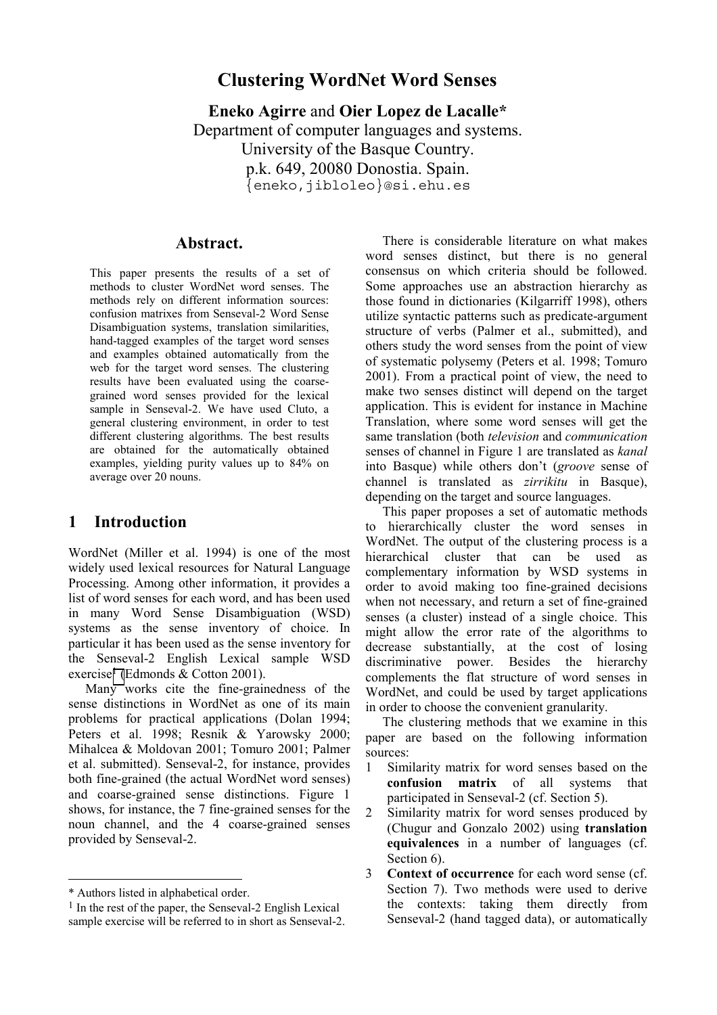# **Clustering WordNet Word Senses**

**Eneko Agirre** and **Oier Lopez de Lacalle\*** Department of computer languages and systems. University of the Basque Country. p.k. 649, 20080 Donostia. Spain. {eneko,jibloleo}@si.ehu.es

### **Abstract.**

This paper presents the results of a set of methods to cluster WordNet word senses. The methods rely on different information sources: confusion matrixes from Senseval-2 Word Sense Disambiguation systems, translation similarities, hand-tagged examples of the target word senses and examples obtained automatically from the web for the target word senses. The clustering results have been evaluated using the coarsegrained word senses provided for the lexical sample in Senseval-2. We have used Cluto, a general clustering environment, in order to test different clustering algorithms. The best results are obtained for the automatically obtained examples, yielding purity values up to 84% on average over 20 nouns.

## **1 Introduction**

WordNet (Miller et al. 1994) is one of the most widely used lexical resources for Natural Language Processing. Among other information, it provides a list of word senses for each word, and has been used in many Word Sense Disambiguation (WSD) systems as the sense inventory of choice. In particular it has been used as the sense inventory for the Senseval-2 English Lexical sample WSD exercise<sup>1</sup> (Edmonds & Cotton 2001).

Many works cite the fine-grainedness of the sense distinctions in WordNet as one of its main problems for practical applications (Dolan 1994; Peters et al. 1998; Resnik & Yarowsky 2000; Mihalcea & Moldovan 2001; Tomuro 2001; Palmer et al. submitted). Senseval-2, for instance, provides both fine-grained (the actual WordNet word senses) and coarse-grained sense distinctions. Figure 1 shows, for instance, the 7 fine-grained senses for the noun channel, and the 4 coarse-grained senses provided by Senseval-2.

-

There is considerable literature on what makes word senses distinct, but there is no general consensus on which criteria should be followed. Some approaches use an abstraction hierarchy as those found in dictionaries (Kilgarriff 1998), others utilize syntactic patterns such as predicate-argument structure of verbs (Palmer et al., submitted), and others study the word senses from the point of view of systematic polysemy (Peters et al. 1998; Tomuro 2001). From a practical point of view, the need to make two senses distinct will depend on the target application. This is evident for instance in Machine Translation, where some word senses will get the same translation (both *television* and *communication* senses of channel in Figure 1 are translated as *kanal* into Basque) while others don't (*groove* sense of channel is translated as *zirrikitu* in Basque), depending on the target and source languages.

This paper proposes a set of automatic methods to hierarchically cluster the word senses in WordNet. The output of the clustering process is a hierarchical cluster that can be used as complementary information by WSD systems in order to avoid making too fine-grained decisions when not necessary, and return a set of fine-grained senses (a cluster) instead of a single choice. This might allow the error rate of the algorithms to decrease substantially, at the cost of losing discriminative power. Besides the hierarchy complements the flat structure of word senses in WordNet, and could be used by target applications in order to choose the convenient granularity.

The clustering methods that we examine in this paper are based on the following information sources:

- 1 Similarity matrix for word senses based on the **confusion matrix** of all systems that participated in Senseval-2 (cf. Section 5).
- 2 Similarity matrix for word senses produced by (Chugur and Gonzalo 2002) using **translation equivalences** in a number of languages (cf. Section 6).
- 3 **Context of occurrence** for each word sense (cf. Section 7). Two methods were used to derive the contexts: taking them directly from Senseval-2 (hand tagged data), or automatically

<sup>\*</sup> Authors listed in alphabetical order.

<sup>1</sup> In the rest of the paper, the Senseval-2 English Lexical sample exercise will be referred to in short as Senseval-2.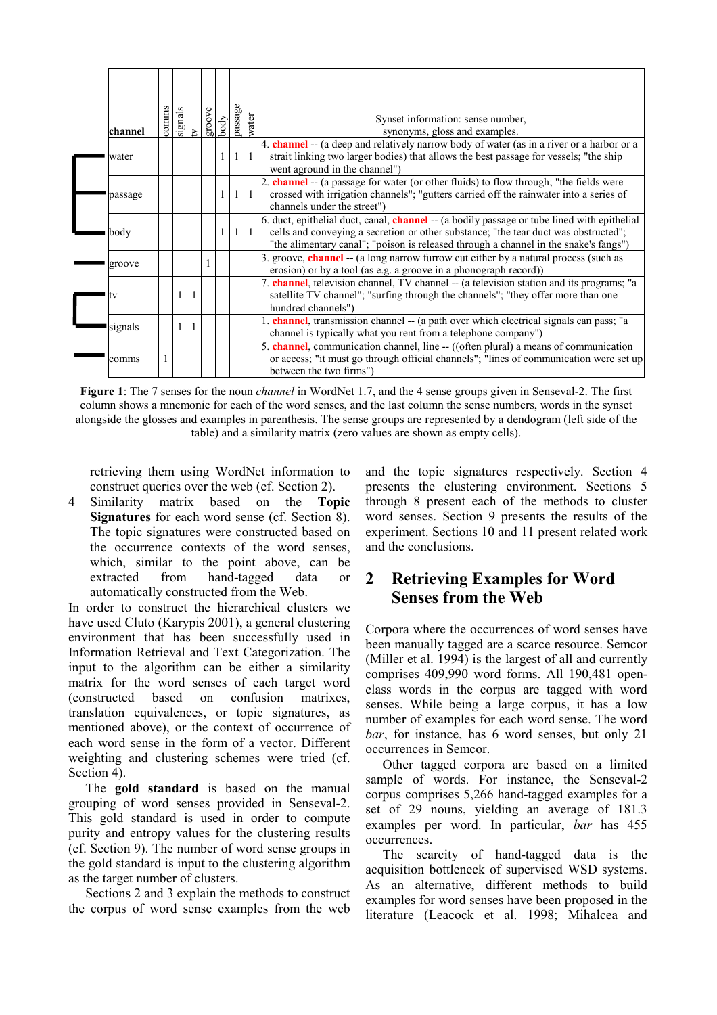| channel | comms | $\frac{\text{signals}}{\text{tr}}$ | groove | body         | passage        | water        | Synset information: sense number,<br>synonyms, gloss and examples.                                                                                                                                                                                                                |
|---------|-------|------------------------------------|--------|--------------|----------------|--------------|-----------------------------------------------------------------------------------------------------------------------------------------------------------------------------------------------------------------------------------------------------------------------------------|
| water   |       |                                    |        | $\mathbf{1}$ | 1 <sup>1</sup> | $\mathbf{1}$ | 4. <b>channel</b> -- (a deep and relatively narrow body of water (as in a river or a harbor or a<br>strait linking two larger bodies) that allows the best passage for vessels; "the ship<br>went aground in the channel")                                                        |
| passage |       |                                    |        | $\mathbf{1}$ | 1 <sup>1</sup> | $\mathbf{1}$ | 2. <b>channel</b> -- (a passage for water (or other fluids) to flow through; "the fields were<br>crossed with irrigation channels"; "gutters carried off the rainwater into a series of<br>channels under the street")                                                            |
| body    |       |                                    |        |              |                | $1\vert 1$   | 6. duct, epithelial duct, canal, <b>channel</b> -- (a bodily passage or tube lined with epithelial<br>cells and conveying a secretion or other substance; "the tear duct was obstructed";<br>"the alimentary canal"; "poison is released through a channel in the snake's fangs") |
| groove  |       |                                    |        |              |                |              | 3. groove, channel -- (a long narrow furrow cut either by a natural process (such as<br>erosion) or by a tool (as e.g. a groove in a phonograph record))                                                                                                                          |
| v       |       | $\overline{1}$                     |        |              |                |              | 7. channel, television channel, TV channel -- (a television station and its programs; "a<br>satellite TV channel"; "surfing through the channels"; "they offer more than one<br>hundred channels")                                                                                |
| signals |       | $\overline{1}$                     |        |              |                |              | 1. channel, transmission channel -- (a path over which electrical signals can pass; "a<br>channel is typically what you rent from a telephone company")                                                                                                                           |
| comms   |       |                                    |        |              |                |              | 5. channel, communication channel, line -- ((often plural) a means of communication<br>or access; "it must go through official channels"; "lines of communication were set up<br>between the two firms")                                                                          |

**Figure 1**: The 7 senses for the noun *channel* in WordNet 1.7, and the 4 sense groups given in Senseval-2. The first column shows a mnemonic for each of the word senses, and the last column the sense numbers, words in the synset alongside the glosses and examples in parenthesis. The sense groups are represented by a dendogram (left side of the table) and a similarity matrix (zero values are shown as empty cells).

retrieving them using WordNet information to construct queries over the web (cf. Section 2).

4 Similarity matrix based on the **Topic Signatures** for each word sense (cf. Section 8). The topic signatures were constructed based on the occurrence contexts of the word senses, which, similar to the point above, can be extracted from hand-tagged data or automatically constructed from the Web.

In order to construct the hierarchical clusters we have used Cluto (Karypis 2001), a general clustering environment that has been successfully used in Information Retrieval and Text Categorization. The input to the algorithm can be either a similarity matrix for the word senses of each target word (constructed based on confusion matrixes, translation equivalences, or topic signatures, as mentioned above), or the context of occurrence of each word sense in the form of a vector. Different weighting and clustering schemes were tried (cf. Section 4).

The **gold standard** is based on the manual grouping of word senses provided in Senseval-2. This gold standard is used in order to compute purity and entropy values for the clustering results (cf. Section 9). The number of word sense groups in the gold standard is input to the clustering algorithm as the target number of clusters.

Sections 2 and 3 explain the methods to construct the corpus of word sense examples from the web

and the topic signatures respectively. Section 4 presents the clustering environment. Sections 5 through 8 present each of the methods to cluster word senses. Section 9 presents the results of the experiment. Sections 10 and 11 present related work and the conclusions.

# **2 Retrieving Examples for Word Senses from the Web**

Corpora where the occurrences of word senses have been manually tagged are a scarce resource. Semcor (Miller et al. 1994) is the largest of all and currently comprises 409,990 word forms. All 190,481 openclass words in the corpus are tagged with word senses. While being a large corpus, it has a low number of examples for each word sense. The word *bar*, for instance, has 6 word senses, but only 21 occurrences in Semcor.

Other tagged corpora are based on a limited sample of words. For instance, the Senseval-2 corpus comprises 5,266 hand-tagged examples for a set of 29 nouns, yielding an average of 181.3 examples per word. In particular, *bar* has 455 occurrences.

The scarcity of hand-tagged data is the acquisition bottleneck of supervised WSD systems. As an alternative, different methods to build examples for word senses have been proposed in the literature (Leacock et al. 1998; Mihalcea and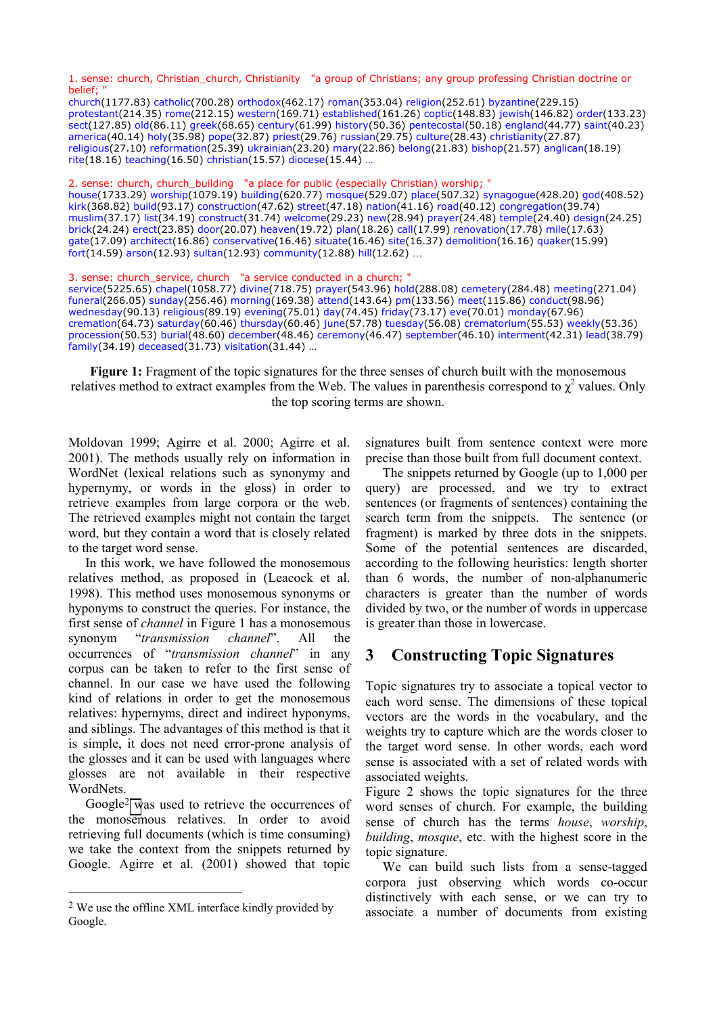1. sense: church, Christian\_church, Christianity "a group of Christians; any group professing Christian doctrine or belief;

church(1177.83) catholic(700.28) orthodox(462.17) roman(353.04) religion(252.61) byzantine(229.15) protestant(214.35) rome(212.15) western(169.71) established(161.26) coptic(148.83) jewish(146.82) order(133.23) sect(127.85) old(86.11) greek(68.65) century(61.99) history(50.36) pentecostal(50.18) england(44.77) saint(40.23) america(40.14) holy(35.98) pope(32.87) priest(29.76) russian(29.75) culture(28.43) christianity(27.87) religious(27.10) reformation(25.39) ukrainian(23.20) mary(22.86) belong(21.83) bishop(21.57) anglican(18.19) rite(18.16) teaching(16.50) christian(15.57) diocese(15.44) …

2. sense: church, church\_building "a place for public (especially Christian) worship; " house(1733.29) worship(1079.19) building(620.77) mosque(529.07) place(507.32) synagogue(428.20) god(408.52) kirk(368.82) build(93.17) construction(47.62) street(47.18) nation(41.16) road(40.12) congregation(39.74) muslim(37.17) list(34.19) construct(31.74) welcome(29.23) new(28.94) prayer(24.48) temple(24.40) design(24.25) brick(24.24) erect(23.85) door(20.07) heaven(19.72) plan(18.26) call(17.99) renovation(17.78) mile(17.63) gate(17.09) architect(16.86) conservative(16.46) situate(16.46) site(16.37) demolition(16.16) quaker(15.99) fort(14.59) arson(12.93) sultan(12.93) community(12.88) hill(12.62) …

3. sense: church service, church "a service conducted in a church; "

service(5225.65) chapel(1058.77) divine(718.75) prayer(543.96) hold(288.08) cemetery(284.48) meeting(271.04) funeral(266.05) sunday(256.46) morning(169.38) attend(143.64) pm(133.56) meet(115.86) conduct(98.96) wednesday(90.13) religious(89.19) evening(75.01) day(74.45) friday(73.17) eve(70.01) monday(67.96) cremation(64.73) saturday(60.46) thursday(60.46) june(57.78) tuesday(56.08) crematorium(55.53) weekly(53.36) procession(50.53) burial(48.60) december(48.46) ceremony(46.47) september(46.10) interment(42.31) lead(38.79) family(34.19) deceased(31.73) visitation(31.44) …

**Figure 1:** Fragment of the topic signatures for the three senses of church built with the monosemous relatives method to extract examples from the Web. The values in parenthesis correspond to  $\chi^2$  values. Only the top scoring terms are shown.

Moldovan 1999; Agirre et al. 2000; Agirre et al. 2001). The methods usually rely on information in WordNet (lexical relations such as synonymy and hypernymy, or words in the gloss) in order to retrieve examples from large corpora or the web. The retrieved examples might not contain the target word, but they contain a word that is closely related to the target word sense.

In this work, we have followed the monosemous relatives method, as proposed in (Leacock et al. 1998). This method uses monosemous synonyms or hyponyms to construct the queries. For instance, the first sense of *channel* in Figure 1 has a monosemous synonym "*transmission channel*". All the occurrences of "*transmission channel*" in any corpus can be taken to refer to the first sense of channel. In our case we have used the following kind of relations in order to get the monosemous relatives: hypernyms, direct and indirect hyponyms, and siblings. The advantages of this method is that it is simple, it does not need error-prone analysis of the glosses and it can be used with languages where glosses are not available in their respective WordNets.

Google2 was used to retrieve the occurrences of the monosemous relatives. In order to avoid retrieving full documents (which is time consuming) we take the context from the snippets returned by Google. Agirre et al. (2001) showed that topic

-

signatures built from sentence context were more precise than those built from full document context.

The snippets returned by Google (up to 1,000 per query) are processed, and we try to extract sentences (or fragments of sentences) containing the search term from the snippets. The sentence (or fragment) is marked by three dots in the snippets. Some of the potential sentences are discarded, according to the following heuristics: length shorter than 6 words, the number of non-alphanumeric characters is greater than the number of words divided by two, or the number of words in uppercase is greater than those in lowercase.

### **3 Constructing Topic Signatures**

Topic signatures try to associate a topical vector to each word sense. The dimensions of these topical vectors are the words in the vocabulary, and the weights try to capture which are the words closer to the target word sense. In other words, each word sense is associated with a set of related words with associated weights.

Figure 2 shows the topic signatures for the three word senses of church. For example, the building sense of church has the terms *house*, *worship*, *building*, *mosque*, etc. with the highest score in the topic signature.

We can build such lists from a sense-tagged corpora just observing which words co-occur distinctively with each sense, or we can try to associate a number of documents from existing

<sup>2</sup> We use the offline XML interface kindly provided by Google.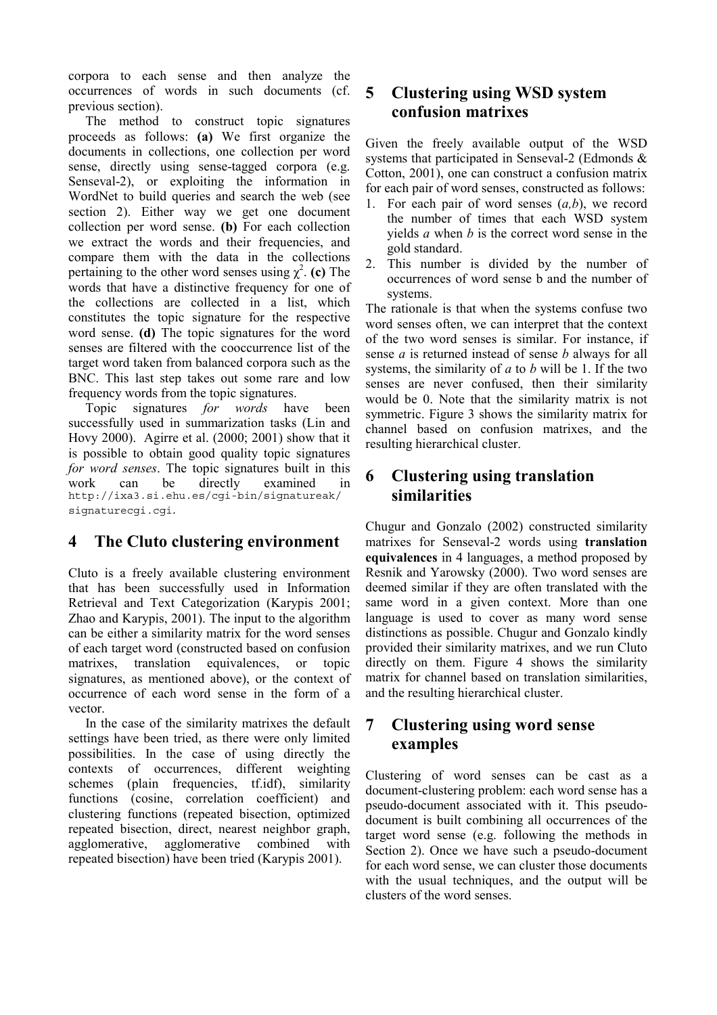corpora to each sense and then analyze the occurrences of words in such documents (cf. previous section).

The method to construct topic signatures proceeds as follows: **(a)** We first organize the documents in collections, one collection per word sense, directly using sense-tagged corpora (e.g. Senseval-2), or exploiting the information in WordNet to build queries and search the web (see section 2). Either way we get one document collection per word sense. **(b)** For each collection we extract the words and their frequencies, and compare them with the data in the collections pertaining to the other word senses using  $\chi^2$ . (c) The words that have a distinctive frequency for one of the collections are collected in a list, which constitutes the topic signature for the respective word sense. **(d)** The topic signatures for the word senses are filtered with the cooccurrence list of the target word taken from balanced corpora such as the BNC. This last step takes out some rare and low frequency words from the topic signatures.

Topic signatures *for words* have been successfully used in summarization tasks (Lin and Hovy 2000). Agirre et al. (2000; 2001) show that it is possible to obtain good quality topic signatures *for word senses*. The topic signatures built in this work can be directly examined in http://ixa3.si.ehu.es/cgi-bin/signatureak/ signaturecgi.cgi.

# **4 The Cluto clustering environment**

Cluto is a freely available clustering environment that has been successfully used in Information Retrieval and Text Categorization (Karypis 2001; Zhao and Karypis, 2001). The input to the algorithm can be either a similarity matrix for the word senses of each target word (constructed based on confusion matrixes, translation equivalences, or topic signatures, as mentioned above), or the context of occurrence of each word sense in the form of a vector.

In the case of the similarity matrixes the default settings have been tried, as there were only limited possibilities. In the case of using directly the contexts of occurrences, different weighting schemes (plain frequencies, tf.idf), similarity functions (cosine, correlation coefficient) and clustering functions (repeated bisection, optimized repeated bisection, direct, nearest neighbor graph, agglomerative, agglomerative combined with repeated bisection) have been tried (Karypis 2001).

# **5 Clustering using WSD system confusion matrixes**

Given the freely available output of the WSD systems that participated in Senseval-2 (Edmonds & Cotton, 2001), one can construct a confusion matrix for each pair of word senses, constructed as follows:

- 1. For each pair of word senses (*a,b*), we record the number of times that each WSD system yields *a* when *b* is the correct word sense in the gold standard.
- 2. This number is divided by the number of occurrences of word sense b and the number of systems.

The rationale is that when the systems confuse two word senses often, we can interpret that the context of the two word senses is similar. For instance, if sense *a* is returned instead of sense *b* always for all systems, the similarity of *a* to *b* will be 1. If the two senses are never confused, then their similarity would be 0. Note that the similarity matrix is not symmetric. Figure 3 shows the similarity matrix for channel based on confusion matrixes, and the resulting hierarchical cluster.

# **6 Clustering using translation similarities**

Chugur and Gonzalo (2002) constructed similarity matrixes for Senseval-2 words using **translation equivalences** in 4 languages, a method proposed by Resnik and Yarowsky (2000). Two word senses are deemed similar if they are often translated with the same word in a given context. More than one language is used to cover as many word sense distinctions as possible. Chugur and Gonzalo kindly provided their similarity matrixes, and we run Cluto directly on them. Figure 4 shows the similarity matrix for channel based on translation similarities, and the resulting hierarchical cluster.

## **7 Clustering using word sense examples**

Clustering of word senses can be cast as a document-clustering problem: each word sense has a pseudo-document associated with it. This pseudodocument is built combining all occurrences of the target word sense (e.g. following the methods in Section 2). Once we have such a pseudo-document for each word sense, we can cluster those documents with the usual techniques, and the output will be clusters of the word senses.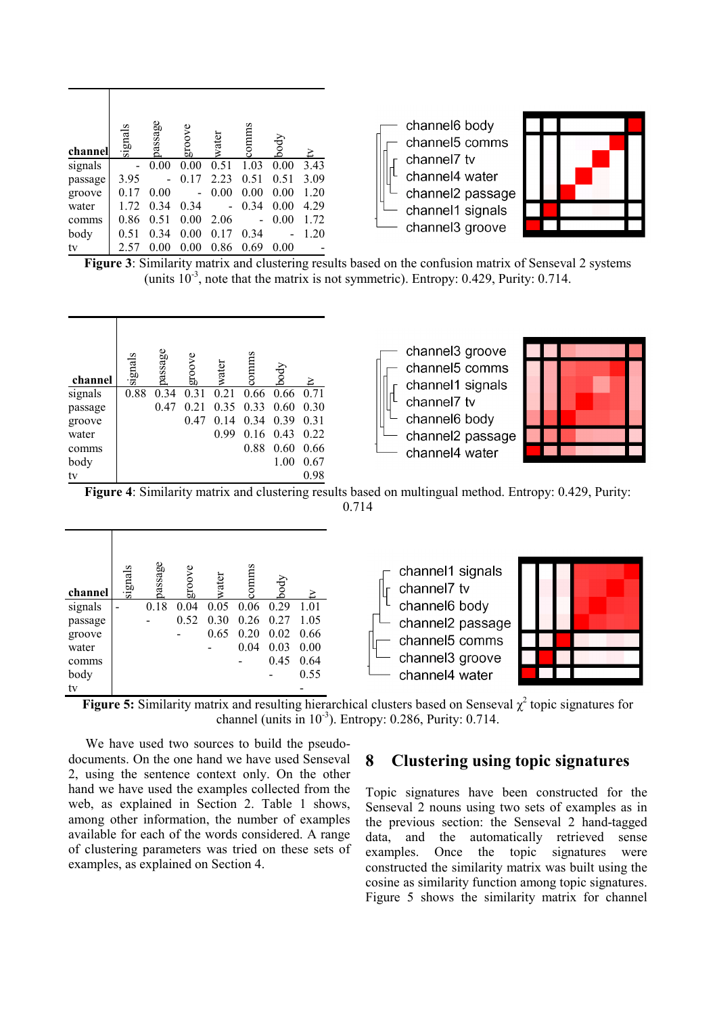| channel | signals | passage | groove | water | commms | body | P.   |
|---------|---------|---------|--------|-------|--------|------|------|
| signals |         | 0.00    | 0.00   | 0.51  | 1.03   | 0.00 | 3.43 |
| passage | 3.95    |         | 0.17   | 2.23  | 0.51   | 0.51 | 3.09 |
| groove  | 0.17    | 0.00    |        | 0.00  | 0.00   | 0.00 | 1.20 |
| water   | 1.72    | 0.34    | 0.34   |       | 0.34   | 0.00 | 4.29 |
| comms   | 0.86    | 0.51    | 0.00   | 2.06  |        | 0.00 | 1.72 |
| body    | 0.51    | 0.34    | 0.00   | 0.17  | 0.34   |      | 1.20 |
| tv      | 2.57    | 0.00    | 0.00   | 0.86  | 0.69   | 0.00 |      |





**Figure 3**: Similarity matrix and clustering results based on the confusion matrix of Senseval 2 systems (units  $10^{-3}$ , note that the matrix is not symmetric). Entropy: 0.429, Purity: 0.714.



**Figure 4**: Similarity matrix and clustering results based on multingual method. Entropy: 0.429, Purity: 0.714



**Figure 5:** Similarity matrix and resulting hierarchical clusters based on Senseval  $\chi^2$  topic signatures for channel (units in  $10^{-3}$ ). Entropy: 0.286, Purity: 0.714.

We have used two sources to build the pseudodocuments. On the one hand we have used Senseval 2, using the sentence context only. On the other hand we have used the examples collected from the web, as explained in Section 2. Table 1 shows, among other information, the number of examples available for each of the words considered. A range of clustering parameters was tried on these sets of examples, as explained on Section 4.

#### **8 Clustering using topic signatures**

Topic signatures have been constructed for the Senseval 2 nouns using two sets of examples as in the previous section: the Senseval 2 hand-tagged data, and the automatically retrieved sense examples. Once the topic signatures were constructed the similarity matrix was built using the cosine as similarity function among topic signatures. Figure 5 shows the similarity matrix for channel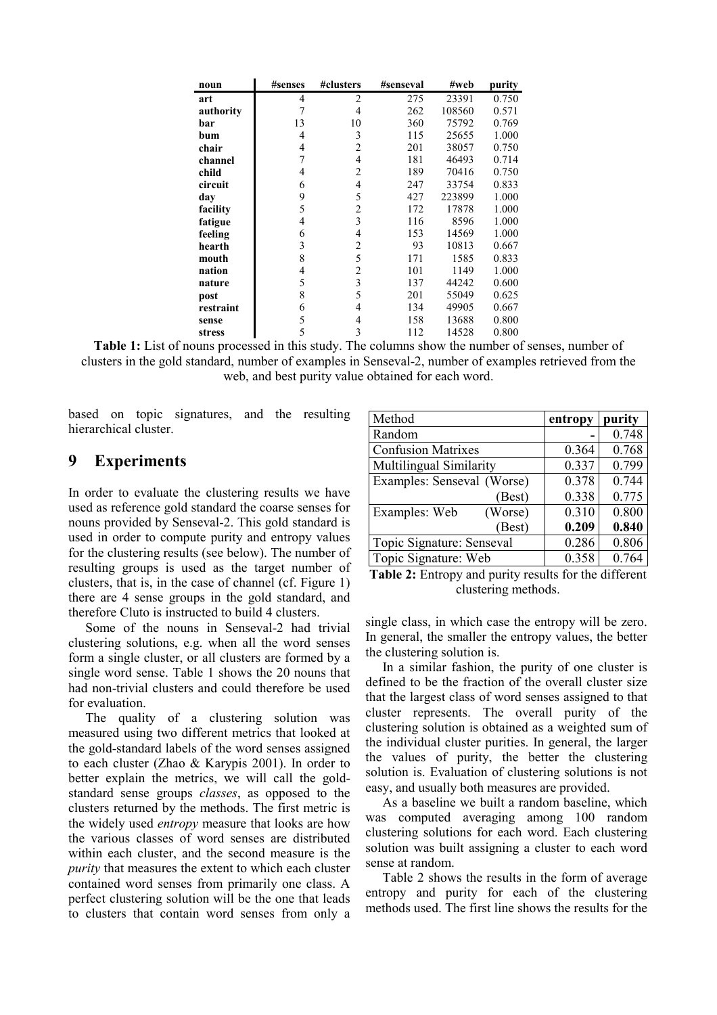| noun      | #senses        | #clusters      | #senseval | #web   | purity |
|-----------|----------------|----------------|-----------|--------|--------|
| art       | $\overline{4}$ | $\overline{c}$ | 275       | 23391  | 0.750  |
| authority | 7              | 4              | 262       | 108560 | 0.571  |
| bar       | 13             | 10             | 360       | 75792  | 0.769  |
| bum       | 4              | 3              | 115       | 25655  | 1.000  |
| chair     | 4              | 2              | 201       | 38057  | 0.750  |
| channel   | 7              | 4              | 181       | 46493  | 0.714  |
| child     | 4              | $\overline{2}$ | 189       | 70416  | 0.750  |
| circuit   | 6              | $\overline{4}$ | 247       | 33754  | 0.833  |
| day       | 9              | 5              | 427       | 223899 | 1.000  |
| facility  | 5              | 2              | 172       | 17878  | 1.000  |
| fatigue   | 4              | 3              | 116       | 8596   | 1.000  |
| feeling   | 6              | 4              | 153       | 14569  | 1.000  |
| hearth    | 3              | 2              | 93        | 10813  | 0.667  |
| mouth     | 8              | 5              | 171       | 1585   | 0.833  |
| nation    | $\overline{4}$ | 2              | 101       | 1149   | 1.000  |
| nature    | 5              | 3              | 137       | 44242  | 0.600  |
| post      | 8              | 5              | 201       | 55049  | 0.625  |
| restraint | 6              | 4              | 134       | 49905  | 0.667  |
| sense     | 5              | 4              | 158       | 13688  | 0.800  |
| stress    | 5              | 3              | 112       | 14528  | 0.800  |

**Table 1:** List of nouns processed in this study. The columns show the number of senses, number of clusters in the gold standard, number of examples in Senseval-2, number of examples retrieved from the web, and best purity value obtained for each word.

based on topic signatures, and the resulting hierarchical cluster.

#### **9 Experiments**

In order to evaluate the clustering results we have used as reference gold standard the coarse senses for nouns provided by Senseval-2. This gold standard is used in order to compute purity and entropy values for the clustering results (see below). The number of resulting groups is used as the target number of clusters, that is, in the case of channel (cf. Figure 1) there are 4 sense groups in the gold standard, and therefore Cluto is instructed to build 4 clusters.

Some of the nouns in Senseval-2 had trivial clustering solutions, e.g. when all the word senses form a single cluster, or all clusters are formed by a single word sense. Table 1 shows the 20 nouns that had non-trivial clusters and could therefore be used for evaluation.

The quality of a clustering solution was measured using two different metrics that looked at the gold-standard labels of the word senses assigned to each cluster (Zhao & Karypis 2001). In order to better explain the metrics, we will call the goldstandard sense groups *classes*, as opposed to the clusters returned by the methods. The first metric is the widely used *entropy* measure that looks are how the various classes of word senses are distributed within each cluster, and the second measure is the *purity* that measures the extent to which each cluster contained word senses from primarily one class. A perfect clustering solution will be the one that leads to clusters that contain word senses from only a

| Method                            | entropy | purity |
|-----------------------------------|---------|--------|
| Random                            |         | 0.748  |
| <b>Confusion Matrixes</b>         | 0.364   | 0.768  |
| Multilingual Similarity           | 0.337   | 0.799  |
| <b>Examples: Senseval (Worse)</b> | 0.378   | 0.744  |
| (Best)                            | 0.338   | 0.775  |
| Examples: Web<br>(Worse)          | 0.310   | 0.800  |
| (Best)                            | 0.209   | 0.840  |
| Topic Signature: Senseval         | 0.286   | 0.806  |
| Topic Signature: Web              | 0.358   | 0.764  |

**Table 2:** Entropy and purity results for the different clustering methods.

single class, in which case the entropy will be zero. In general, the smaller the entropy values, the better the clustering solution is.

In a similar fashion, the purity of one cluster is defined to be the fraction of the overall cluster size that the largest class of word senses assigned to that cluster represents. The overall purity of the clustering solution is obtained as a weighted sum of the individual cluster purities. In general, the larger the values of purity, the better the clustering solution is. Evaluation of clustering solutions is not easy, and usually both measures are provided.

As a baseline we built a random baseline, which was computed averaging among 100 random clustering solutions for each word. Each clustering solution was built assigning a cluster to each word sense at random.

Table 2 shows the results in the form of average entropy and purity for each of the clustering methods used. The first line shows the results for the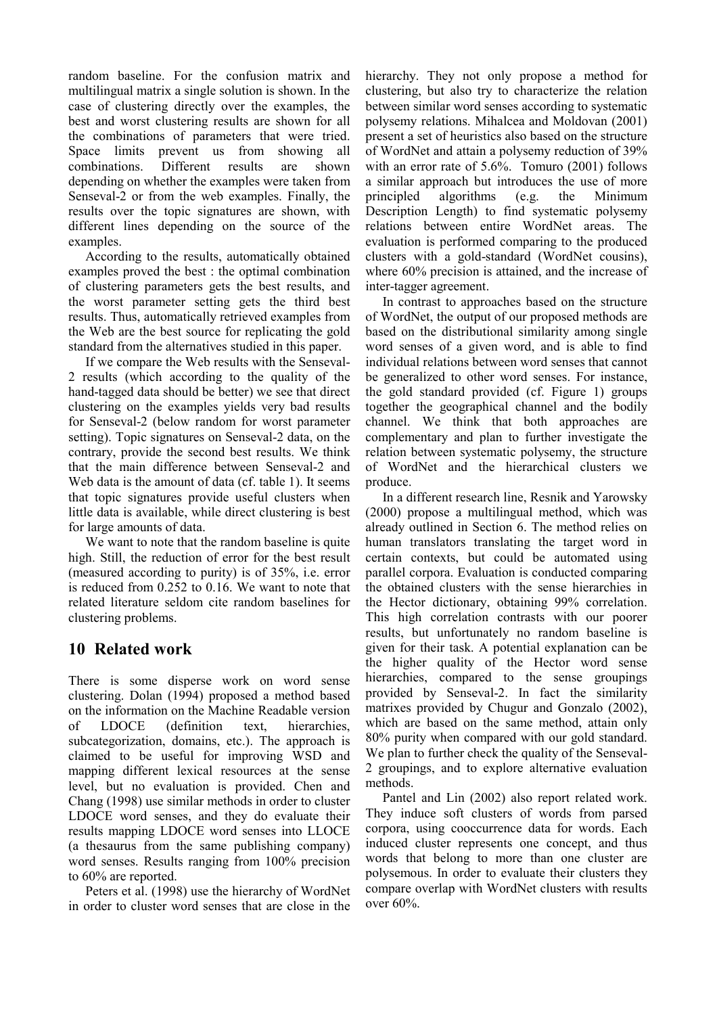random baseline. For the confusion matrix and multilingual matrix a single solution is shown. In the case of clustering directly over the examples, the best and worst clustering results are shown for all the combinations of parameters that were tried. Space limits prevent us from showing all combinations. Different results are shown depending on whether the examples were taken from Senseval-2 or from the web examples. Finally, the results over the topic signatures are shown, with different lines depending on the source of the examples.

According to the results, automatically obtained examples proved the best : the optimal combination of clustering parameters gets the best results, and the worst parameter setting gets the third best results. Thus, automatically retrieved examples from the Web are the best source for replicating the gold standard from the alternatives studied in this paper.

If we compare the Web results with the Senseval-2 results (which according to the quality of the hand-tagged data should be better) we see that direct clustering on the examples yields very bad results for Senseval-2 (below random for worst parameter setting). Topic signatures on Senseval-2 data, on the contrary, provide the second best results. We think that the main difference between Senseval-2 and Web data is the amount of data (cf. table 1). It seems that topic signatures provide useful clusters when little data is available, while direct clustering is best for large amounts of data.

We want to note that the random baseline is quite high. Still, the reduction of error for the best result (measured according to purity) is of 35%, i.e. error is reduced from 0.252 to 0.16. We want to note that related literature seldom cite random baselines for clustering problems.

## **10 Related work**

There is some disperse work on word sense clustering. Dolan (1994) proposed a method based on the information on the Machine Readable version of LDOCE (definition text, hierarchies, subcategorization, domains, etc.). The approach is claimed to be useful for improving WSD and mapping different lexical resources at the sense level, but no evaluation is provided. Chen and Chang (1998) use similar methods in order to cluster LDOCE word senses, and they do evaluate their results mapping LDOCE word senses into LLOCE (a thesaurus from the same publishing company) word senses. Results ranging from 100% precision to 60% are reported.

Peters et al. (1998) use the hierarchy of WordNet in order to cluster word senses that are close in the hierarchy. They not only propose a method for clustering, but also try to characterize the relation between similar word senses according to systematic polysemy relations. Mihalcea and Moldovan (2001) present a set of heuristics also based on the structure of WordNet and attain a polysemy reduction of 39% with an error rate of 5.6%. Tomuro (2001) follows a similar approach but introduces the use of more principled algorithms (e.g. the Minimum Description Length) to find systematic polysemy relations between entire WordNet areas. The evaluation is performed comparing to the produced clusters with a gold-standard (WordNet cousins), where 60% precision is attained, and the increase of inter-tagger agreement.

In contrast to approaches based on the structure of WordNet, the output of our proposed methods are based on the distributional similarity among single word senses of a given word, and is able to find individual relations between word senses that cannot be generalized to other word senses. For instance, the gold standard provided (cf. Figure 1) groups together the geographical channel and the bodily channel. We think that both approaches are complementary and plan to further investigate the relation between systematic polysemy, the structure of WordNet and the hierarchical clusters we produce.

In a different research line, Resnik and Yarowsky (2000) propose a multilingual method, which was already outlined in Section 6. The method relies on human translators translating the target word in certain contexts, but could be automated using parallel corpora. Evaluation is conducted comparing the obtained clusters with the sense hierarchies in the Hector dictionary, obtaining 99% correlation. This high correlation contrasts with our poorer results, but unfortunately no random baseline is given for their task. A potential explanation can be the higher quality of the Hector word sense hierarchies, compared to the sense groupings provided by Senseval-2. In fact the similarity matrixes provided by Chugur and Gonzalo (2002), which are based on the same method, attain only 80% purity when compared with our gold standard. We plan to further check the quality of the Senseval-2 groupings, and to explore alternative evaluation methods.

Pantel and Lin (2002) also report related work. They induce soft clusters of words from parsed corpora, using cooccurrence data for words. Each induced cluster represents one concept, and thus words that belong to more than one cluster are polysemous. In order to evaluate their clusters they compare overlap with WordNet clusters with results over 60%.